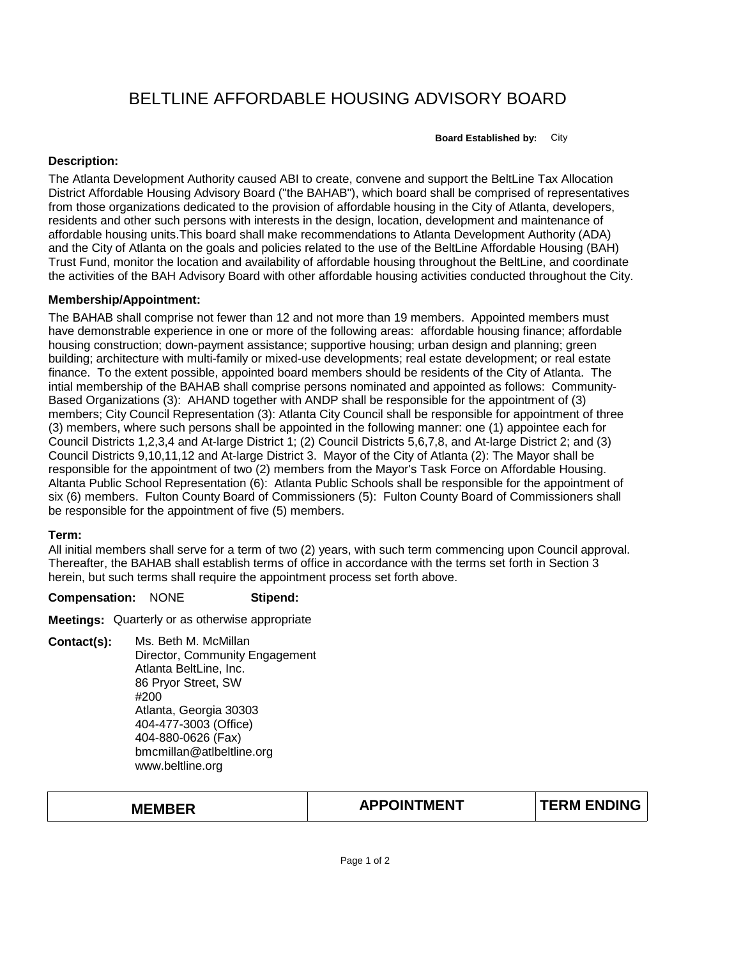# BELTLINE AFFORDABLE HOUSING ADVISORY BOARD

**Board Established by:** City

### **Description:**

The Atlanta Development Authority caused ABI to create, convene and support the BeltLine Tax Allocation District Affordable Housing Advisory Board ("the BAHAB"), which board shall be comprised of representatives from those organizations dedicated to the provision of affordable housing in the City of Atlanta, developers, residents and other such persons with interests in the design, location, development and maintenance of affordable housing units.This board shall make recommendations to Atlanta Development Authority (ADA) and the City of Atlanta on the goals and policies related to the use of the BeltLine Affordable Housing (BAH) Trust Fund, monitor the location and availability of affordable housing throughout the BeltLine, and coordinate the activities of the BAH Advisory Board with other affordable housing activities conducted throughout the City.

### **Membership/Appointment:**

The BAHAB shall comprise not fewer than 12 and not more than 19 members. Appointed members must have demonstrable experience in one or more of the following areas: affordable housing finance; affordable housing construction; down-payment assistance; supportive housing; urban design and planning; green building; architecture with multi-family or mixed-use developments; real estate development; or real estate finance. To the extent possible, appointed board members should be residents of the City of Atlanta. The intial membership of the BAHAB shall comprise persons nominated and appointed as follows: Community-Based Organizations (3): AHAND together with ANDP shall be responsible for the appointment of (3) members; City Council Representation (3): Atlanta City Council shall be responsible for appointment of three (3) members, where such persons shall be appointed in the following manner: one (1) appointee each for Council Districts 1,2,3,4 and At-large District 1; (2) Council Districts 5,6,7,8, and At-large District 2; and (3) Council Districts 9,10,11,12 and At-large District 3. Mayor of the City of Atlanta (2): The Mayor shall be responsible for the appointment of two (2) members from the Mayor's Task Force on Affordable Housing. Altanta Public School Representation (6): Atlanta Public Schools shall be responsible for the appointment of six (6) members. Fulton County Board of Commissioners (5): Fulton County Board of Commissioners shall be responsible for the appointment of five (5) members.

#### **Term:**

All initial members shall serve for a term of two (2) years, with such term commencing upon Council approval. Thereafter, the BAHAB shall establish terms of office in accordance with the terms set forth in Section 3 herein, but such terms shall require the appointment process set forth above.

#### **Compensation:** NONE **Stipend:**

**Meetings:** Quarterly or as otherwise appropriate

- **Contact(s):** Ms. Beth M. McMillan
	- Director, Community Engagement Atlanta BeltLine, Inc. 86 Pryor Street, SW #200 Atlanta, Georgia 30303 404-477-3003 (Office) 404-880-0626 (Fax) bmcmillan@atlbeltline.org www.beltline.org

| <b>MEMBER</b> |  |
|---------------|--|
|---------------|--|

## **MEMBER TERM ENDING APPOINTMENT**